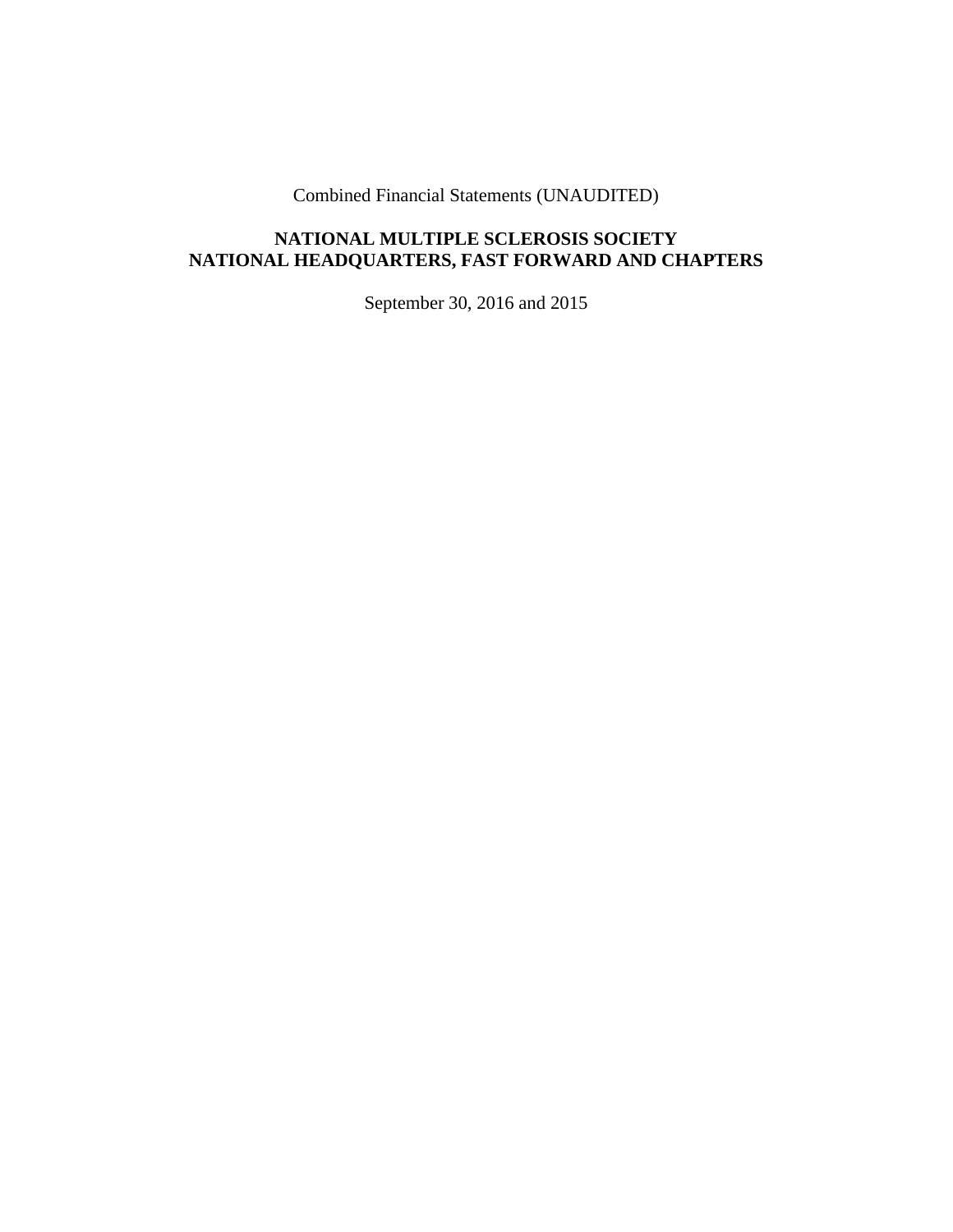Combined Financial Statements (UNAUDITED)

# **NATIONAL MULTIPLE SCLEROSIS SOCIETY NATIONAL HEADQUARTERS, FAST FORWARD AND CHAPTERS**

September 30, 2016 and 2015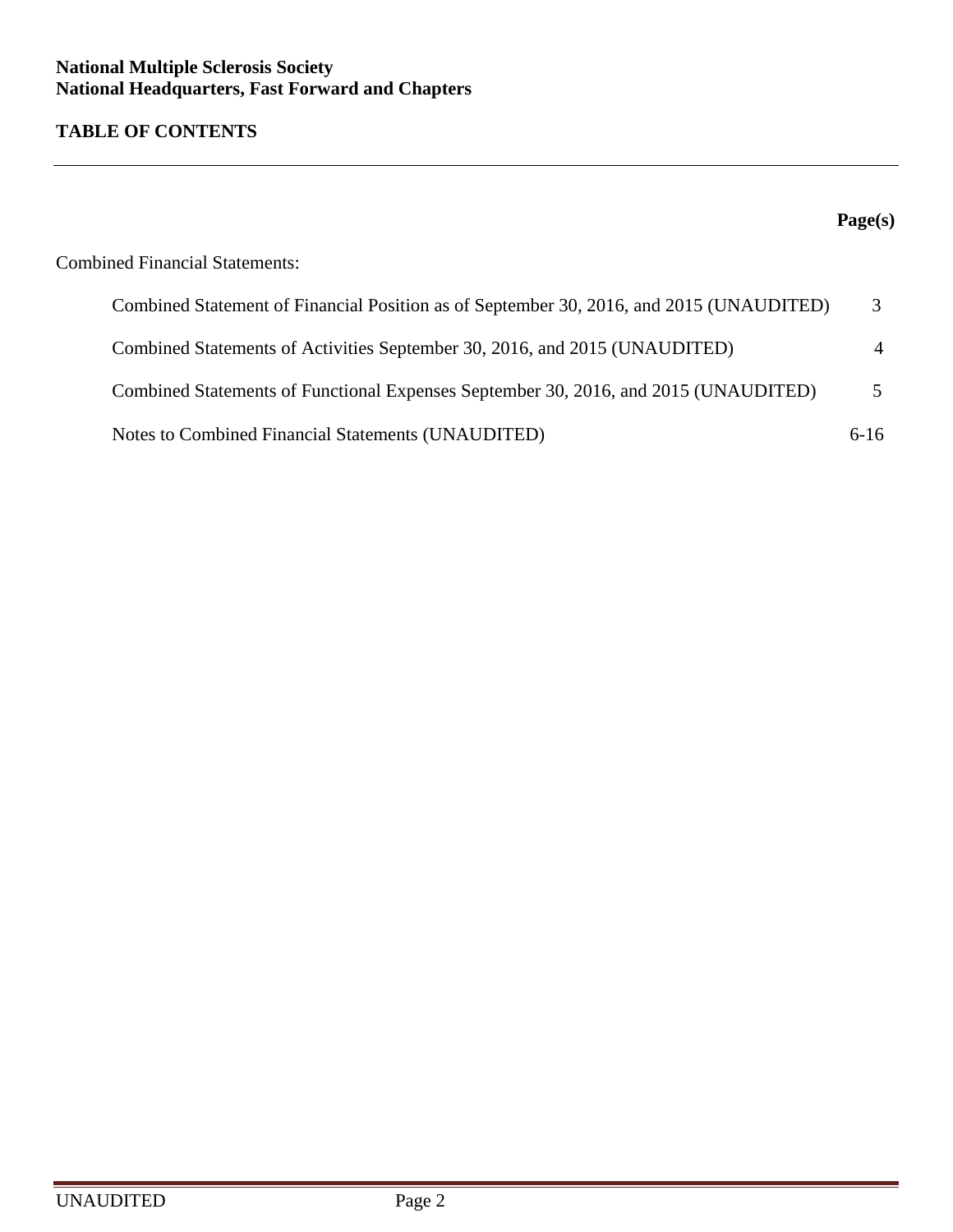# **TABLE OF CONTENTS**

|                                                                                         | Page(s) |
|-----------------------------------------------------------------------------------------|---------|
| <b>Combined Financial Statements:</b>                                                   |         |
| Combined Statement of Financial Position as of September 30, 2016, and 2015 (UNAUDITED) |         |
| Combined Statements of Activities September 30, 2016, and 2015 (UNAUDITED)              |         |
| Combined Statements of Functional Expenses September 30, 2016, and 2015 (UNAUDITED)     |         |
| Notes to Combined Financial Statements (UNAUDITED)                                      | $6-16$  |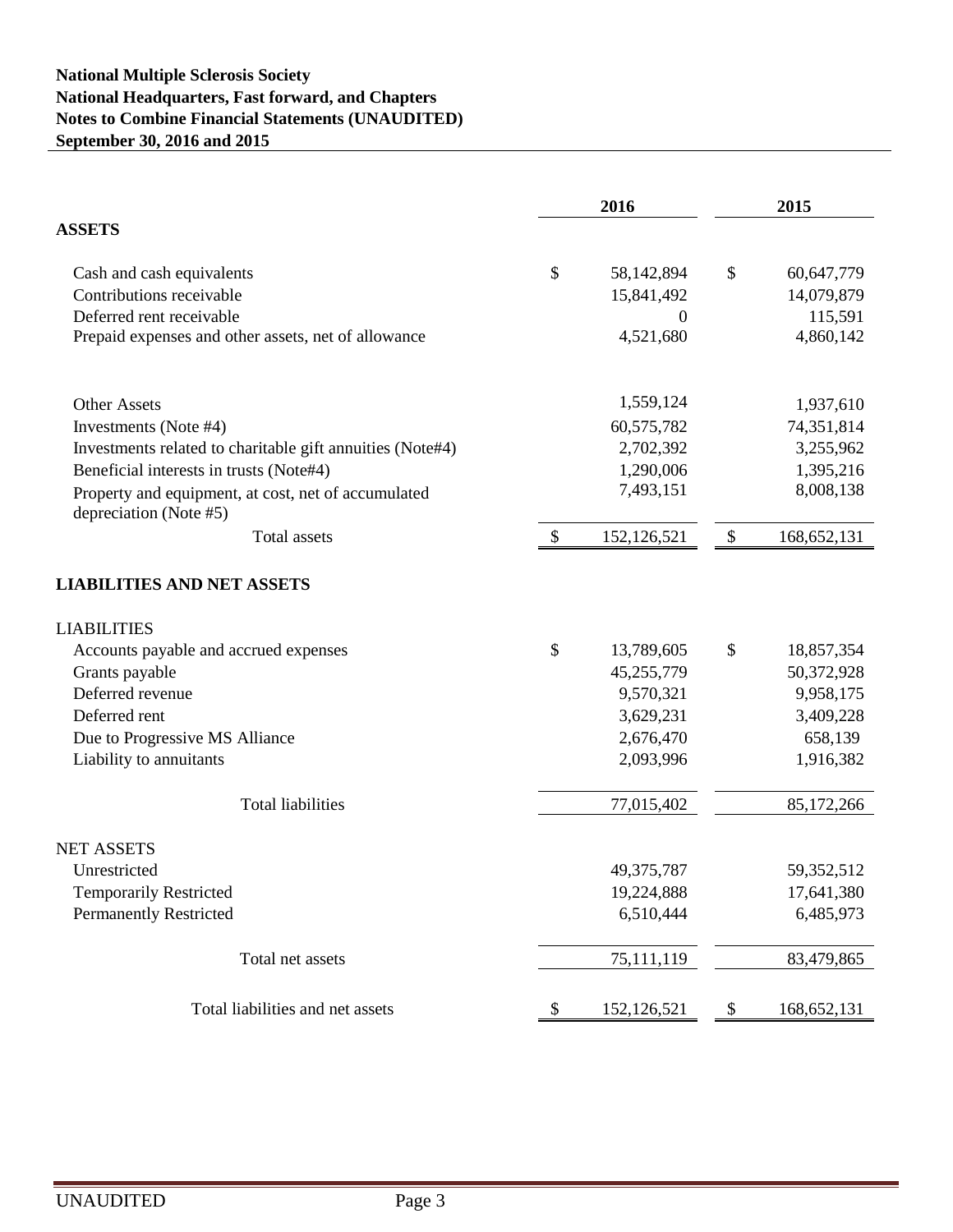### **National Multiple Sclerosis Society National Headquarters, Fast forward, and Chapters Notes to Combine Financial Statements (UNAUDITED) September 30, 2016 and 2015**

|                                                                               | 2016 |              | 2015 |               |  |
|-------------------------------------------------------------------------------|------|--------------|------|---------------|--|
| <b>ASSETS</b>                                                                 |      |              |      |               |  |
| Cash and cash equivalents                                                     | \$   | 58,142,894   | \$   | 60,647,779    |  |
| Contributions receivable                                                      |      | 15,841,492   |      | 14,079,879    |  |
| Deferred rent receivable                                                      |      | 0            |      | 115,591       |  |
| Prepaid expenses and other assets, net of allowance                           |      | 4,521,680    |      | 4,860,142     |  |
| <b>Other Assets</b>                                                           |      | 1,559,124    |      | 1,937,610     |  |
| Investments (Note #4)                                                         |      | 60,575,782   |      | 74,351,814    |  |
| Investments related to charitable gift annuities (Note#4)                     |      | 2,702,392    |      | 3,255,962     |  |
| Beneficial interests in trusts (Note#4)                                       |      | 1,290,006    |      | 1,395,216     |  |
| Property and equipment, at cost, net of accumulated<br>depreciation (Note #5) |      | 7,493,151    |      | 8,008,138     |  |
| <b>Total assets</b>                                                           | \$   | 152,126,521  | \$   | 168, 652, 131 |  |
| <b>LIABILITIES AND NET ASSETS</b>                                             |      |              |      |               |  |
| <b>LIABILITIES</b>                                                            |      |              |      |               |  |
| Accounts payable and accrued expenses                                         | \$   | 13,789,605   | \$   | 18,857,354    |  |
| Grants payable                                                                |      | 45,255,779   |      | 50,372,928    |  |
| Deferred revenue                                                              |      | 9,570,321    |      | 9,958,175     |  |
| Deferred rent                                                                 |      | 3,629,231    |      | 3,409,228     |  |
| Due to Progressive MS Alliance                                                |      | 2,676,470    |      | 658,139       |  |
| Liability to annuitants                                                       |      | 2,093,996    |      | 1,916,382     |  |
| <b>Total liabilities</b>                                                      |      | 77,015,402   |      | 85,172,266    |  |
| <b>NET ASSETS</b>                                                             |      |              |      |               |  |
| Unrestricted                                                                  |      | 49, 375, 787 |      | 59,352,512    |  |
| <b>Temporarily Restricted</b>                                                 |      | 19,224,888   |      | 17,641,380    |  |
| <b>Permanently Restricted</b>                                                 |      | 6,510,444    |      | 6,485,973     |  |
| Total net assets                                                              |      | 75,111,119   |      | 83,479,865    |  |
| Total liabilities and net assets                                              | \$   | 152,126,521  | \$   | 168, 652, 131 |  |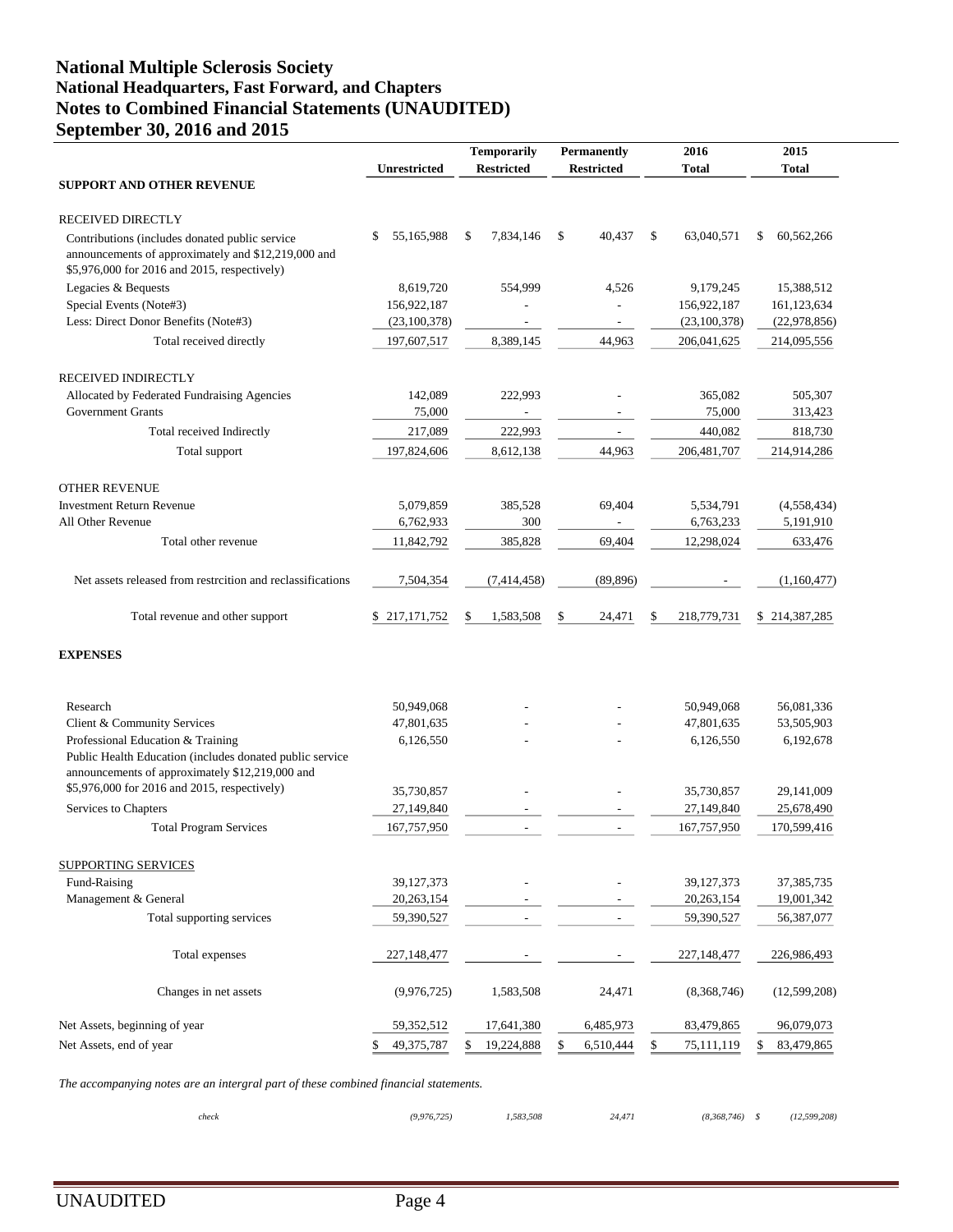#### **National Multiple Sclerosis Society National Headquarters, Fast Forward, and Chapters Notes to Combined Financial Statements (UNAUDITED) September 30, 2016 and 2015**

|                                                                                                                                                       |                     |    | <b>Temporarily</b>       | <b>Permanently</b> |                          | 2016 |               | 2015 |               |
|-------------------------------------------------------------------------------------------------------------------------------------------------------|---------------------|----|--------------------------|--------------------|--------------------------|------|---------------|------|---------------|
|                                                                                                                                                       | <b>Unrestricted</b> |    | <b>Restricted</b>        |                    | <b>Restricted</b>        |      | <b>Total</b>  |      | Total         |
| <b>SUPPORT AND OTHER REVENUE</b>                                                                                                                      |                     |    |                          |                    |                          |      |               |      |               |
| <b>RECEIVED DIRECTLY</b>                                                                                                                              |                     |    |                          |                    |                          |      |               |      |               |
| Contributions (includes donated public service<br>announcements of approximately and \$12,219,000 and<br>\$5,976,000 for 2016 and 2015, respectively) | 55,165,988<br>\$    | \$ | 7,834,146                | \$                 | 40,437                   | \$   | 63,040,571    | \$   | 60,562,266    |
| Legacies & Bequests                                                                                                                                   | 8,619,720           |    | 554,999                  |                    | 4,526                    |      | 9,179,245     |      | 15,388,512    |
| Special Events (Note#3)                                                                                                                               | 156,922,187         |    |                          |                    |                          |      | 156,922,187   |      | 161,123,634   |
| Less: Direct Donor Benefits (Note#3)                                                                                                                  | (23,100,378)        |    |                          |                    | $\overline{\phantom{a}}$ |      | (23,100,378)  |      | (22,978,856)  |
| Total received directly                                                                                                                               | 197,607,517         |    | 8,389,145                |                    | 44,963                   |      | 206,041,625   |      | 214,095,556   |
| RECEIVED INDIRECTLY                                                                                                                                   |                     |    |                          |                    |                          |      |               |      |               |
| Allocated by Federated Fundraising Agencies                                                                                                           | 142,089             |    | 222,993                  |                    |                          |      | 365,082       |      | 505,307       |
| <b>Government Grants</b>                                                                                                                              | 75,000              |    | $\overline{\phantom{a}}$ |                    |                          |      | 75,000        |      | 313,423       |
| Total received Indirectly                                                                                                                             | 217,089             |    | 222,993                  |                    | $\overline{\phantom{a}}$ |      | 440,082       |      | 818,730       |
| Total support                                                                                                                                         | 197,824,606         |    | 8,612,138                |                    | 44,963                   |      | 206, 481, 707 |      | 214,914,286   |
| <b>OTHER REVENUE</b>                                                                                                                                  |                     |    |                          |                    |                          |      |               |      |               |
| <b>Investment Return Revenue</b>                                                                                                                      | 5,079,859           |    | 385,528                  |                    | 69,404                   |      | 5,534,791     |      | (4,558,434)   |
| All Other Revenue                                                                                                                                     | 6,762,933           |    | 300                      |                    |                          |      | 6,763,233     |      | 5,191,910     |
| Total other revenue                                                                                                                                   | 11,842,792          |    | 385,828                  |                    | 69,404                   |      | 12,298,024    |      | 633,476       |
| Net assets released from restrcition and reclassifications                                                                                            | 7,504,354           |    | (7,414,458)              |                    | (89, 896)                |      |               |      | (1,160,477)   |
| Total revenue and other support                                                                                                                       | \$217,171,752       | S  | 1,583,508                | \$                 | 24,471                   | \$   | 218,779,731   |      | \$214,387,285 |
|                                                                                                                                                       |                     |    |                          |                    |                          |      |               |      |               |
| <b>EXPENSES</b>                                                                                                                                       |                     |    |                          |                    |                          |      |               |      |               |
| Research                                                                                                                                              | 50,949,068          |    |                          |                    |                          |      | 50,949,068    |      | 56,081,336    |
| Client & Community Services                                                                                                                           | 47,801,635          |    |                          |                    |                          |      | 47,801,635    |      | 53,505,903    |
| Professional Education & Training                                                                                                                     | 6,126,550           |    |                          |                    |                          |      | 6,126,550     |      | 6,192,678     |
| Public Health Education (includes donated public service<br>announcements of approximately \$12,219,000 and                                           |                     |    |                          |                    |                          |      |               |      |               |
| \$5,976,000 for 2016 and 2015, respectively)                                                                                                          | 35,730,857          |    |                          |                    |                          |      | 35,730,857    |      | 29, 141, 009  |
| Services to Chapters                                                                                                                                  | 27,149,840          |    |                          |                    |                          |      | 27,149,840    |      | 25,678,490    |
| <b>Total Program Services</b>                                                                                                                         | 167,757,950         |    | $\overline{\phantom{a}}$ |                    |                          |      | 167,757,950   |      | 170,599,416   |
| <b>SUPPORTING SERVICES</b>                                                                                                                            |                     |    |                          |                    |                          |      |               |      |               |
| Fund-Raising                                                                                                                                          | 39,127,373          |    |                          |                    |                          |      | 39,127,373    |      | 37,385,735    |
| Management & General                                                                                                                                  | 20,263,154          |    |                          |                    |                          |      | 20,263,154    |      | 19,001,342    |
| Total supporting services                                                                                                                             | 59,390,527          |    |                          |                    |                          |      | 59,390,527    |      | 56,387,077    |
| Total expenses                                                                                                                                        | 227,148,477         |    |                          |                    |                          |      | 227,148,477   |      | 226,986,493   |
| Changes in net assets                                                                                                                                 | (9,976,725)         |    | 1,583,508                |                    | 24,471                   |      | (8,368,746)   |      | (12,599,208)  |
|                                                                                                                                                       |                     |    |                          |                    |                          |      |               |      |               |
| Net Assets, beginning of year                                                                                                                         | 59,352,512          |    | 17,641,380               |                    | 6,485,973                |      | 83,479,865    |      | 96,079,073    |

*The accompanying notes are an intergral part of these combined financial statements.*

| check<br>. | (9, 976, 725) | 1,583,508 | 24,471 | $(8,368,746)$ \$ | (12, 599, 208) |
|------------|---------------|-----------|--------|------------------|----------------|
|            |               |           |        |                  |                |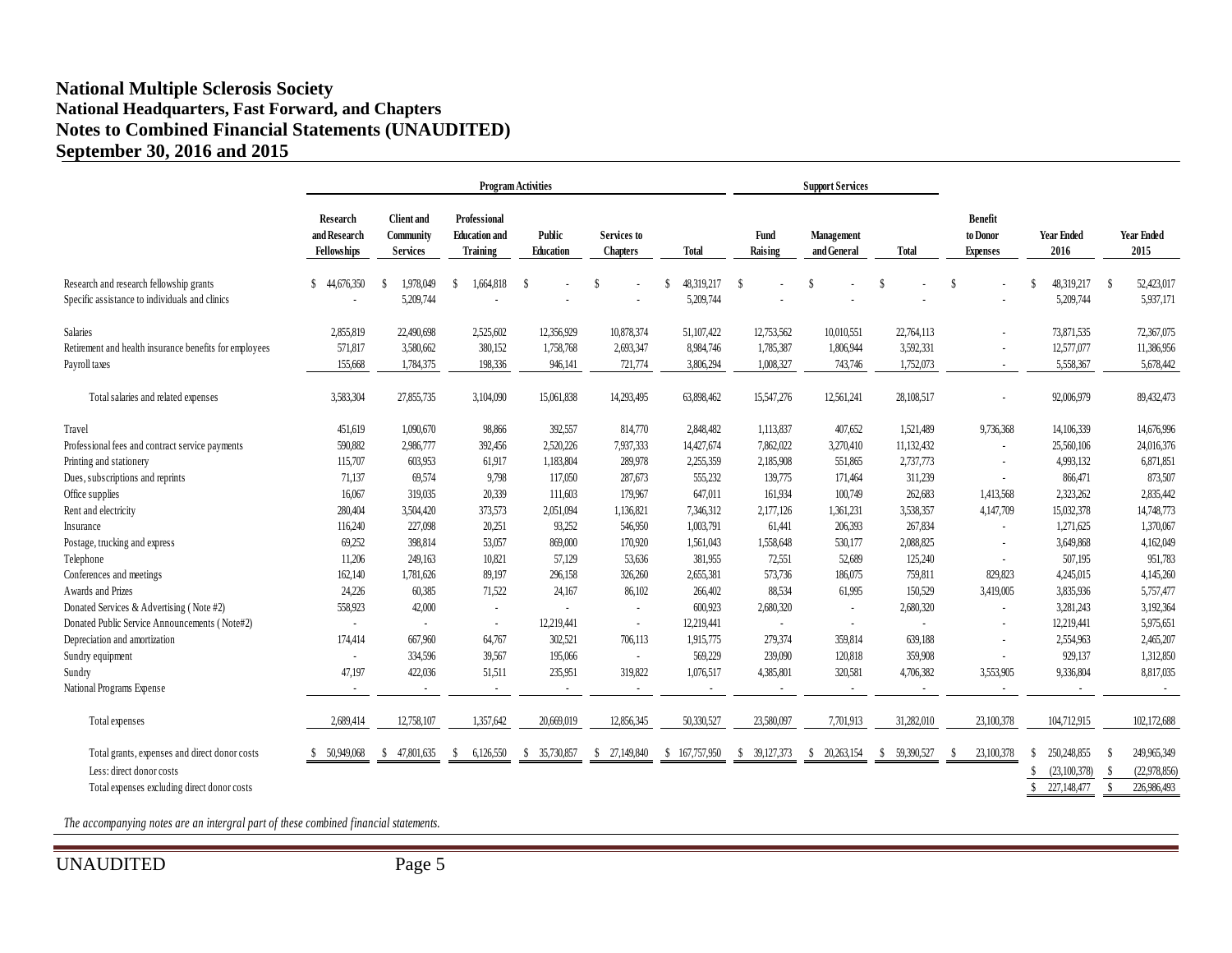#### **National Multiple Sclerosis Society National Headquarters, Fast Forward, and Chapters National Headquarters, Fast Forward, and Chapters Notes to Combined Financial Statements (UNAUDITED) September 30, 2016 and 2015 National Multiple Sclerosis Society**

|                                                        |                                         | <b>Program Activities</b>                         |                                                  |                            |                                       | <b>Support Services</b> |                            |                           |                  |                                               |                           |                                   |
|--------------------------------------------------------|-----------------------------------------|---------------------------------------------------|--------------------------------------------------|----------------------------|---------------------------------------|-------------------------|----------------------------|---------------------------|------------------|-----------------------------------------------|---------------------------|-----------------------------------|
|                                                        | Research<br>and Research<br>Fellowships | <b>Client</b> and<br>Community<br><b>Services</b> | Professional<br><b>Education</b> and<br>Training | Public<br><b>Education</b> | <b>Services</b> to<br><b>Chapters</b> | <b>Total</b>            | Fund<br>Raising            | Management<br>and General | <b>Total</b>     | <b>Benefit</b><br>to Donor<br><b>Expenses</b> | <b>Year Ended</b><br>2016 | <b>Year Ended</b><br>2015         |
| Research and research fellowship grants                | \$44,676,350                            | 1,978,049<br>-S                                   | 1,664,818                                        | -S                         | S.                                    | 48,319,217              | -S                         | <sup>\$</sup>             | <b>S</b>         | <sup>\$</sup>                                 | 48,319,217<br>\$.         | 52,423,017<br>-S                  |
| Specific assistance to individuals and clinics         |                                         | 5,209,744                                         |                                                  |                            |                                       | 5,209,744               |                            |                           |                  |                                               | 5,209,744                 | 5,937,171                         |
| <b>Salaries</b>                                        | 2,855,819                               | 22,490,698                                        | 2,525,602                                        | 12,356,929                 | 10,878,374                            | 51,107,422              | 12,753,562                 | 10,010,551                | 22,764,113       |                                               | 73,871,535                | 72,367,075                        |
| Retirement and health insurance benefits for employees | 571,817                                 | 3,580,662                                         | 380,152                                          | 1,758,768                  | 2,693,347                             | 8,984,746               | 1,785,387                  | 1,806,944                 | 3,592,331        |                                               | 12,577,077                | 11,386,956                        |
| Payroll taxes                                          | 155,668                                 | 1,784,375                                         | 198,336                                          | 946,141                    | 721,774                               | 3,806,294               | 1,008,327                  | 743,746                   | 1,752,073        |                                               | 5,558,367                 | 5,678,442                         |
| Total salaries and related expenses                    | 3,583,304                               | 27,855,735                                        | 3,104,090                                        | 15,061,838                 | 14,293,495                            | 63,898,462              | 15,547,276                 | 12,561,241                | 28,108,517       |                                               | 92,006,979                | 89,432,473                        |
| Travel                                                 | 451,619                                 | 1,090,670                                         | 98,866                                           | 392,557                    | 814,770                               | 2,848,482               | 1,113,837                  | 407,652                   | 1,521,489        | 9,736,368                                     | 14,106,339                | 14,676,996                        |
| Professional fees and contract service payments        | 590,882                                 | 2,986,777                                         | 392,456                                          | 2,520,226                  | 7,937,333                             | 14,427,674              | 7,862,022                  | 3,270,410                 | 11,132,432       | $\sim$                                        | 25,560,106                | 24,016,376                        |
| Printing and stationery                                | 115,707                                 | 603,953                                           | 61,917                                           | 1,183,804                  | 289,978                               | 2,255,359               | 2,185,908                  | 551,865                   | 2,737,773        | $\overline{\phantom{a}}$                      | 4,993,132                 | 6,871,851                         |
| Dues, subscriptions and reprints                       | 71,137                                  | 69,574                                            | 9,798                                            | 117,050                    | 287,673                               | 555,232                 | 139,775                    | 171,464                   | 311,239          | $\sim$                                        | 866,471                   | 873,507                           |
| Office supplies                                        | 16,067                                  | 319,035                                           | 20,339                                           | 111,603                    | 179,967                               | 647,011                 | 161,934                    | 100,749                   | 262,683          | 1,413,568                                     | 2,323,262                 | 2,835,442                         |
| Rent and electricity                                   | 280,404                                 | 3,504,420                                         | 373,573                                          | 2,051,094                  | 1,136,821                             | 7,346,312               | 2,177,126                  | 1,361,231                 | 3,538,357        | 4,147,709                                     | 15,032,378                | 14,748,773                        |
| Insurance                                              | 116,240                                 | 227,098                                           | 20,251                                           | 93,252                     | 546,950                               | 1,003,791               | 61,441                     | 206,393                   | 267,834          | $\sim$                                        | 1,271,625                 | 1,370,067                         |
| Postage, trucking and express                          | 69,252                                  | 398,814                                           | 53,057                                           | 869,000                    | 170,920                               | 1,561,043               | 1,558,648                  | 530,177                   | 2,088,825        | $\overline{\phantom{a}}$                      | 3,649,868                 | 4,162,049                         |
| Telephone                                              | 11,206                                  | 249,163                                           | 10,821                                           | 57,129                     | 53,636                                | 381,955                 | 72,551                     | 52,689                    | 125,240          | $\sim$                                        | 507,195                   | 951,783                           |
| Conferences and meetings                               | 162,140                                 | 1,781,626                                         | 89,197                                           | 296,158                    | 326,260                               | 2,655,381               | 573,736                    | 186,075                   | 759,811          | 829,823                                       | 4,245,015                 | 4,145,260                         |
| Awards and Prizes                                      | 24,226                                  | 60,385                                            | 71,522                                           | 24,167                     | 86,102                                | 266,402                 | 88,534                     | 61,995                    | 150,529          | 3,419,005                                     | 3,835,936                 | 5,757,477                         |
| Donated Services & Advertising (Note #2)               | 558,923                                 | 42,000                                            | $\sim$                                           |                            | $\overline{\phantom{a}}$              | 600,923                 | 2.680,320                  | $\overline{\phantom{a}}$  | 2.680,320        | $\sim$                                        | 3,281,243                 | 3,192,364                         |
| Donated Public Service Announcements (Note#2)          | $\sim$                                  | $\sim$                                            | $\sim$                                           | 12,219,441                 | $\overline{\phantom{a}}$              | 12,219,441              | $\sim$                     | $\overline{\phantom{a}}$  | $\sim$           | $\sim$                                        | 12,219,441                | 5,975,651                         |
| Depreciation and amortization                          | 174,414                                 | 667,960                                           | 64.767                                           | 302.521                    | 706,113                               | 1,915,775               | 279,374                    | 359,814                   | 639,188          | $\overline{\phantom{a}}$                      | 2,554,963                 | 2,465,207                         |
| Sundry equipment                                       | $\sim$                                  | 334,596                                           | 39.567                                           | 195,066                    | $\sim$                                | 569,229                 | 239,090                    | 120,818                   | 359,908          | $\sim$                                        | 929,137                   | 1,312,850                         |
| Sundry                                                 | 47,197                                  | 422,036                                           | 51.511                                           | 235,951                    | 319,822                               | 1,076,517               | 4,385,801                  | 320,581                   | 4,706,382        | 3,553,905                                     | 9,336,804                 | 8,817,035                         |
| National Programs Expense                              | $\overline{\phantom{a}}$                | $\sim$                                            | $\sim$                                           | $\overline{\phantom{a}}$   | $\sim$                                | $\sim$                  | $\sim$                     | $\sim$                    | $\sim$           | $\sim$                                        | $\sim$                    | $\sim$                            |
| Total expenses                                         | 2,689,414                               | 12,758,107                                        | 1,357,642                                        | 20.669.019                 | 12,856,345                            | 50.330.527              | 23.580,097                 | 7.701.913                 | 31,282,010       | 23,100,378                                    | 104,712,915               | 102,172,688                       |
| Total grants, expenses and direct donor costs          | 50,949,068                              | 47,801,635<br>-S                                  | 6,126,550<br>-S                                  | \$ 35,730,857              | 27,149,840<br>S                       | \$167,757,950           | 39,127,373<br><sup>S</sup> | 20,263,154<br>S.          | 59,390,527<br>S. | 23,100,378<br>-S                              | 250,248,855<br>S.         | 249,965,349<br>-S                 |
| Less: direct donor costs                               |                                         |                                                   |                                                  |                            |                                       |                         |                            |                           |                  |                                               | (23,100,378)<br>S.        | (22, 978, 856)                    |
| Total expenses excluding direct donor costs            |                                         |                                                   |                                                  |                            |                                       |                         |                            |                           |                  |                                               | 227,148,477               | $\mathbf{\hat{s}}$<br>226,986,493 |
|                                                        |                                         |                                                   |                                                  |                            |                                       |                         |                            |                           |                  |                                               |                           |                                   |

*The accompanying notes are an intergral part of these combined financial statements.*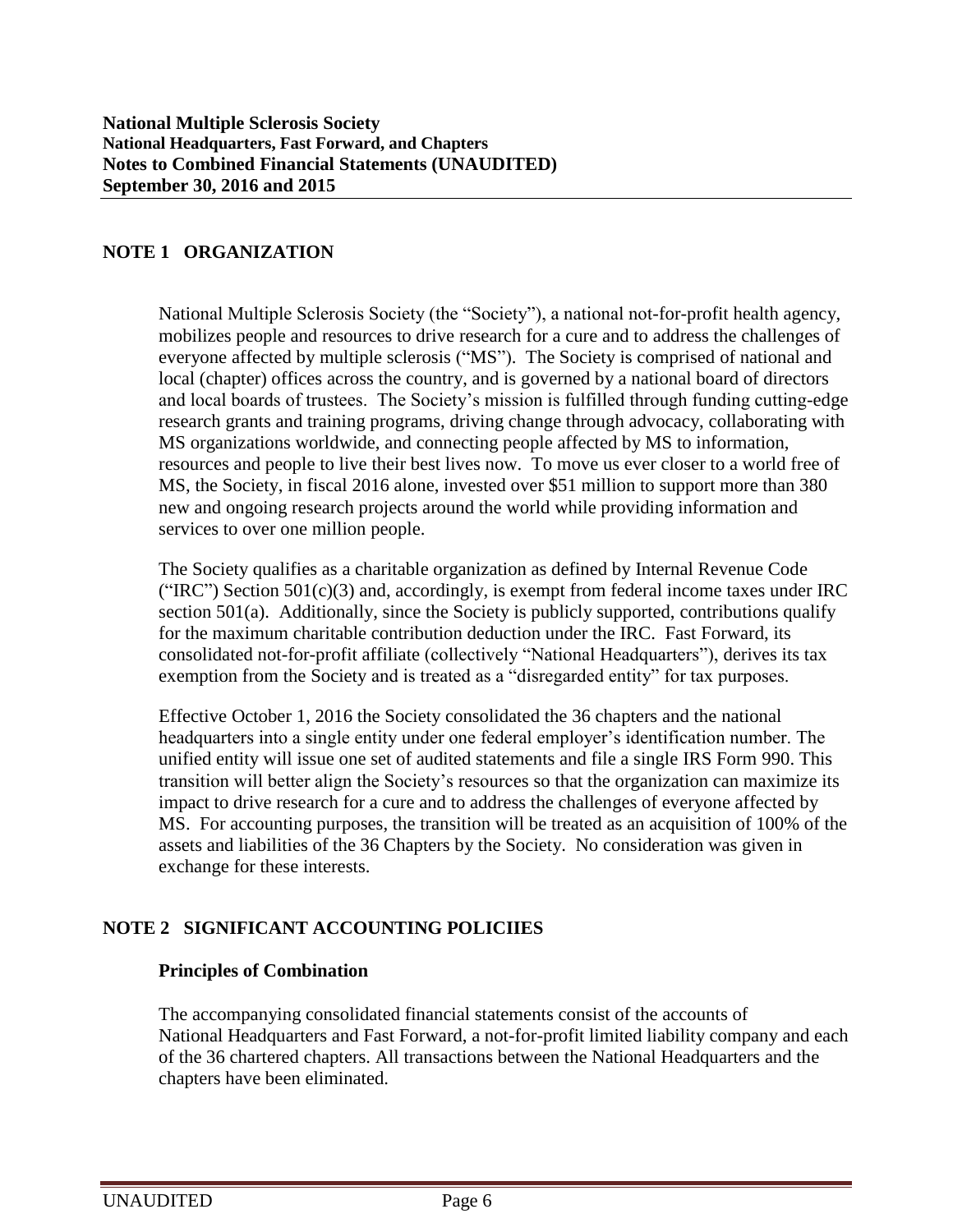### **NOTE 1 ORGANIZATION**

National Multiple Sclerosis Society (the "Society"), a national not-for-profit health agency, mobilizes people and resources to drive research for a cure and to address the challenges of everyone affected by multiple sclerosis ("MS"). The Society is comprised of national and local (chapter) offices across the country, and is governed by a national board of directors and local boards of trustees. The Society's mission is fulfilled through funding cutting-edge research grants and training programs, driving change through advocacy, collaborating with MS organizations worldwide, and connecting people affected by MS to information, resources and people to live their best lives now. To move us ever closer to a world free of MS, the Society, in fiscal 2016 alone, invested over \$51 million to support more than 380 new and ongoing research projects around the world while providing information and services to over one million people.

The Society qualifies as a charitable organization as defined by Internal Revenue Code ("IRC") Section  $501(c)(3)$  and, accordingly, is exempt from federal income taxes under IRC section 501(a). Additionally, since the Society is publicly supported, contributions qualify for the maximum charitable contribution deduction under the IRC. Fast Forward, its consolidated not-for-profit affiliate (collectively "National Headquarters"), derives its tax exemption from the Society and is treated as a "disregarded entity" for tax purposes.

Effective October 1, 2016 the Society consolidated the 36 chapters and the national headquarters into a single entity under one federal employer's identification number. The unified entity will issue one set of audited statements and file a single IRS Form 990. This transition will better align the Society's resources so that the organization can maximize its impact to drive research for a cure and to address the challenges of everyone affected by MS. For accounting purposes, the transition will be treated as an acquisition of 100% of the assets and liabilities of the 36 Chapters by the Society. No consideration was given in exchange for these interests.

### **NOTE 2 SIGNIFICANT ACCOUNTING POLICIIES**

#### **Principles of Combination**

The accompanying consolidated financial statements consist of the accounts of National Headquarters and Fast Forward, a not-for-profit limited liability company and each of the 36 chartered chapters. All transactions between the National Headquarters and the chapters have been eliminated.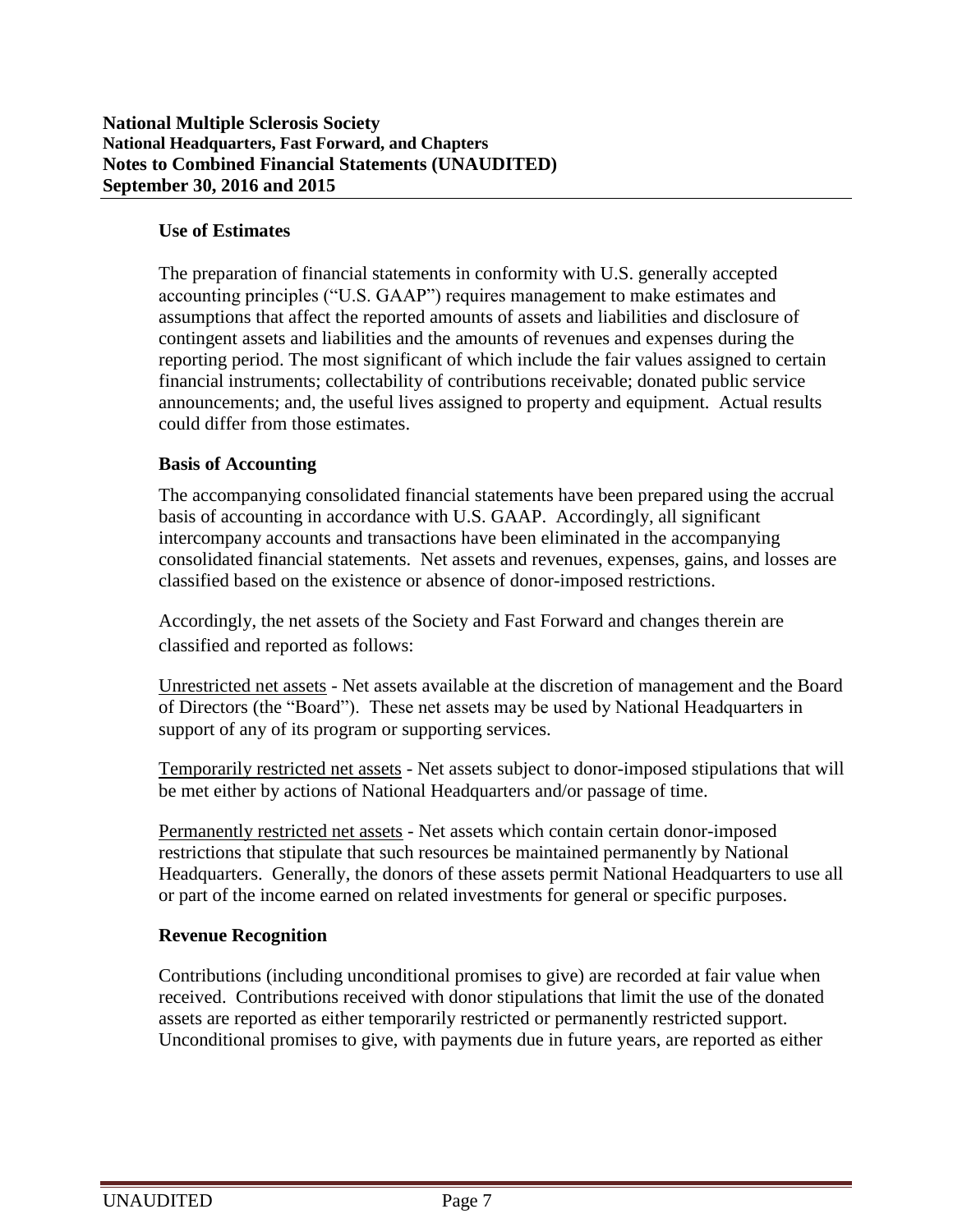### **Use of Estimates**

The preparation of financial statements in conformity with U.S. generally accepted accounting principles ("U.S. GAAP") requires management to make estimates and assumptions that affect the reported amounts of assets and liabilities and disclosure of contingent assets and liabilities and the amounts of revenues and expenses during the reporting period. The most significant of which include the fair values assigned to certain financial instruments; collectability of contributions receivable; donated public service announcements; and, the useful lives assigned to property and equipment. Actual results could differ from those estimates.

### **Basis of Accounting**

The accompanying consolidated financial statements have been prepared using the accrual basis of accounting in accordance with U.S. GAAP. Accordingly, all significant intercompany accounts and transactions have been eliminated in the accompanying consolidated financial statements. Net assets and revenues, expenses, gains, and losses are classified based on the existence or absence of donor-imposed restrictions.

Accordingly, the net assets of the Society and Fast Forward and changes therein are classified and reported as follows:

Unrestricted net assets - Net assets available at the discretion of management and the Board of Directors (the "Board"). These net assets may be used by National Headquarters in support of any of its program or supporting services.

Temporarily restricted net assets - Net assets subject to donor-imposed stipulations that will be met either by actions of National Headquarters and/or passage of time.

Permanently restricted net assets - Net assets which contain certain donor-imposed restrictions that stipulate that such resources be maintained permanently by National Headquarters. Generally, the donors of these assets permit National Headquarters to use all or part of the income earned on related investments for general or specific purposes.

#### **Revenue Recognition**

Contributions (including unconditional promises to give) are recorded at fair value when received. Contributions received with donor stipulations that limit the use of the donated assets are reported as either temporarily restricted or permanently restricted support. Unconditional promises to give, with payments due in future years, are reported as either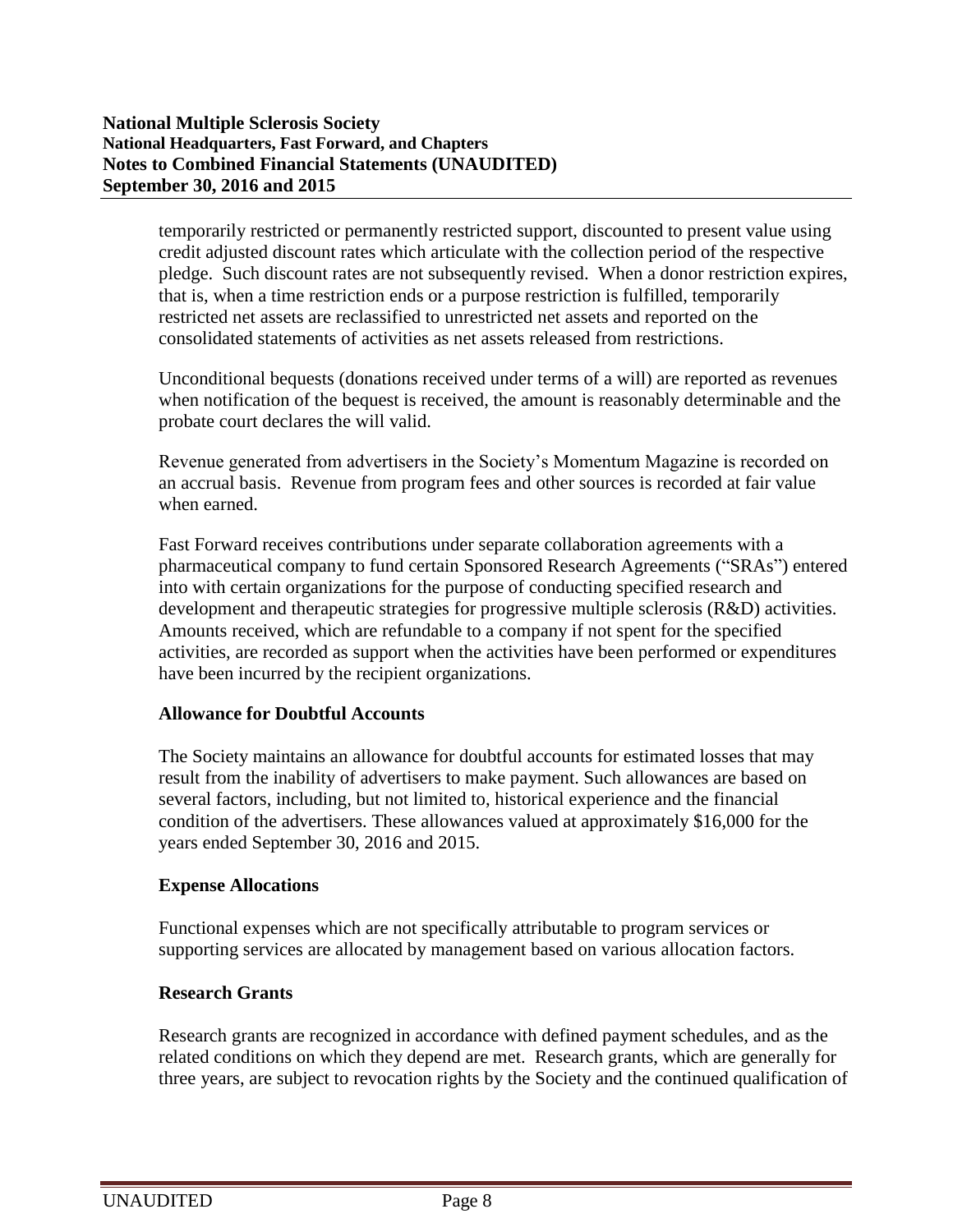temporarily restricted or permanently restricted support, discounted to present value using credit adjusted discount rates which articulate with the collection period of the respective pledge. Such discount rates are not subsequently revised. When a donor restriction expires, that is, when a time restriction ends or a purpose restriction is fulfilled, temporarily restricted net assets are reclassified to unrestricted net assets and reported on the consolidated statements of activities as net assets released from restrictions.

Unconditional bequests (donations received under terms of a will) are reported as revenues when notification of the bequest is received, the amount is reasonably determinable and the probate court declares the will valid.

Revenue generated from advertisers in the Society's Momentum Magazine is recorded on an accrual basis. Revenue from program fees and other sources is recorded at fair value when earned.

Fast Forward receives contributions under separate collaboration agreements with a pharmaceutical company to fund certain Sponsored Research Agreements ("SRAs") entered into with certain organizations for the purpose of conducting specified research and development and therapeutic strategies for progressive multiple sclerosis (R&D) activities. Amounts received, which are refundable to a company if not spent for the specified activities, are recorded as support when the activities have been performed or expenditures have been incurred by the recipient organizations.

### **Allowance for Doubtful Accounts**

The Society maintains an allowance for doubtful accounts for estimated losses that may result from the inability of advertisers to make payment. Such allowances are based on several factors, including, but not limited to, historical experience and the financial condition of the advertisers. These allowances valued at approximately \$16,000 for the years ended September 30, 2016 and 2015.

#### **Expense Allocations**

Functional expenses which are not specifically attributable to program services or supporting services are allocated by management based on various allocation factors.

### **Research Grants**

Research grants are recognized in accordance with defined payment schedules, and as the related conditions on which they depend are met. Research grants, which are generally for three years, are subject to revocation rights by the Society and the continued qualification of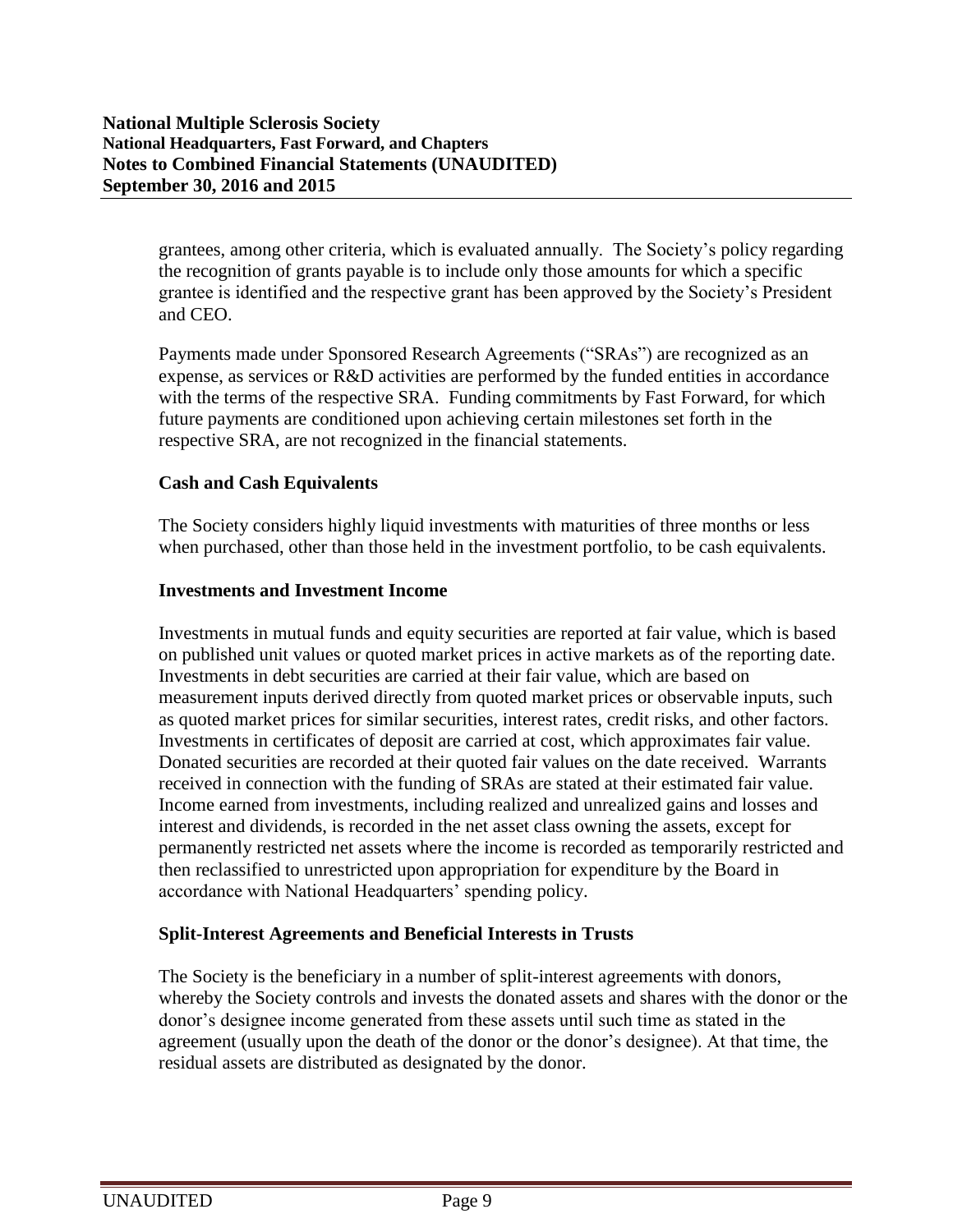grantees, among other criteria, which is evaluated annually. The Society's policy regarding the recognition of grants payable is to include only those amounts for which a specific grantee is identified and the respective grant has been approved by the Society's President and CEO.

Payments made under Sponsored Research Agreements ("SRAs") are recognized as an expense, as services or R&D activities are performed by the funded entities in accordance with the terms of the respective SRA. Funding commitments by Fast Forward, for which future payments are conditioned upon achieving certain milestones set forth in the respective SRA, are not recognized in the financial statements.

### **Cash and Cash Equivalents**

The Society considers highly liquid investments with maturities of three months or less when purchased, other than those held in the investment portfolio, to be cash equivalents.

#### **Investments and Investment Income**

Investments in mutual funds and equity securities are reported at fair value, which is based on published unit values or quoted market prices in active markets as of the reporting date. Investments in debt securities are carried at their fair value, which are based on measurement inputs derived directly from quoted market prices or observable inputs, such as quoted market prices for similar securities, interest rates, credit risks, and other factors. Investments in certificates of deposit are carried at cost, which approximates fair value. Donated securities are recorded at their quoted fair values on the date received. Warrants received in connection with the funding of SRAs are stated at their estimated fair value. Income earned from investments, including realized and unrealized gains and losses and interest and dividends, is recorded in the net asset class owning the assets, except for permanently restricted net assets where the income is recorded as temporarily restricted and then reclassified to unrestricted upon appropriation for expenditure by the Board in accordance with National Headquarters' spending policy.

#### **Split-Interest Agreements and Beneficial Interests in Trusts**

The Society is the beneficiary in a number of split-interest agreements with donors, whereby the Society controls and invests the donated assets and shares with the donor or the donor's designee income generated from these assets until such time as stated in the agreement (usually upon the death of the donor or the donor's designee). At that time, the residual assets are distributed as designated by the donor.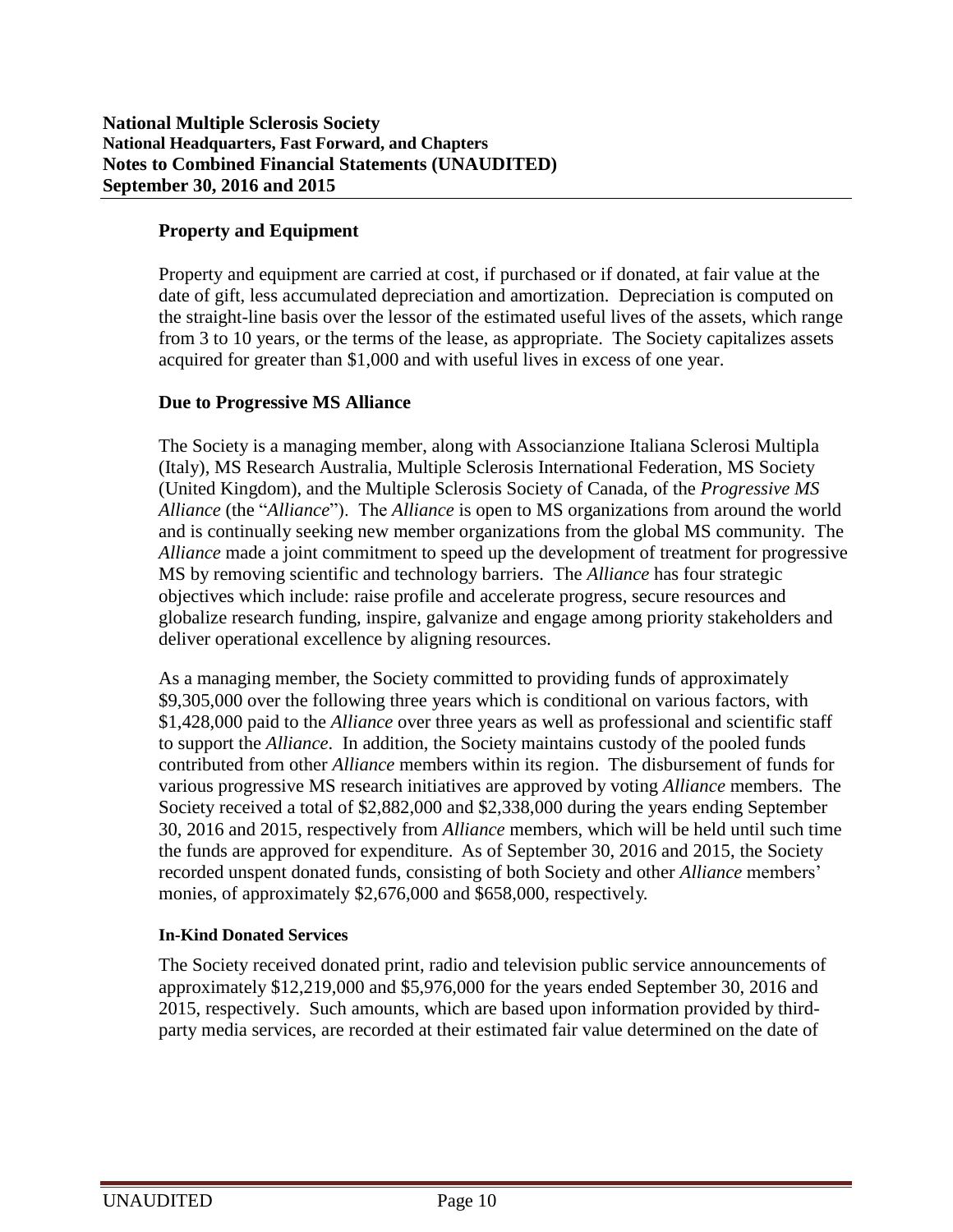### **Property and Equipment**

Property and equipment are carried at cost, if purchased or if donated, at fair value at the date of gift, less accumulated depreciation and amortization. Depreciation is computed on the straight-line basis over the lessor of the estimated useful lives of the assets, which range from 3 to 10 years, or the terms of the lease, as appropriate. The Society capitalizes assets acquired for greater than \$1,000 and with useful lives in excess of one year.

### **Due to Progressive MS Alliance**

The Society is a managing member, along with Associanzione Italiana Sclerosi Multipla (Italy), MS Research Australia, Multiple Sclerosis International Federation, MS Society (United Kingdom), and the Multiple Sclerosis Society of Canada, of the *Progressive MS Alliance* (the "*Alliance*"). The *Alliance* is open to MS organizations from around the world and is continually seeking new member organizations from the global MS community. The *Alliance* made a joint commitment to speed up the development of treatment for progressive MS by removing scientific and technology barriers. The *Alliance* has four strategic objectives which include: raise profile and accelerate progress, secure resources and globalize research funding, inspire, galvanize and engage among priority stakeholders and deliver operational excellence by aligning resources.

As a managing member, the Society committed to providing funds of approximately \$9,305,000 over the following three years which is conditional on various factors, with \$1,428,000 paid to the *Alliance* over three years as well as professional and scientific staff to support the *Alliance*. In addition, the Society maintains custody of the pooled funds contributed from other *Alliance* members within its region. The disbursement of funds for various progressive MS research initiatives are approved by voting *Alliance* members. The Society received a total of \$2,882,000 and \$2,338,000 during the years ending September 30, 2016 and 2015, respectively from *Alliance* members, which will be held until such time the funds are approved for expenditure. As of September 30, 2016 and 2015, the Society recorded unspent donated funds, consisting of both Society and other *Alliance* members' monies, of approximately \$2,676,000 and \$658,000, respectively.

#### **In-Kind Donated Services**

The Society received donated print, radio and television public service announcements of approximately \$12,219,000 and \$5,976,000 for the years ended September 30, 2016 and 2015, respectively. Such amounts, which are based upon information provided by thirdparty media services, are recorded at their estimated fair value determined on the date of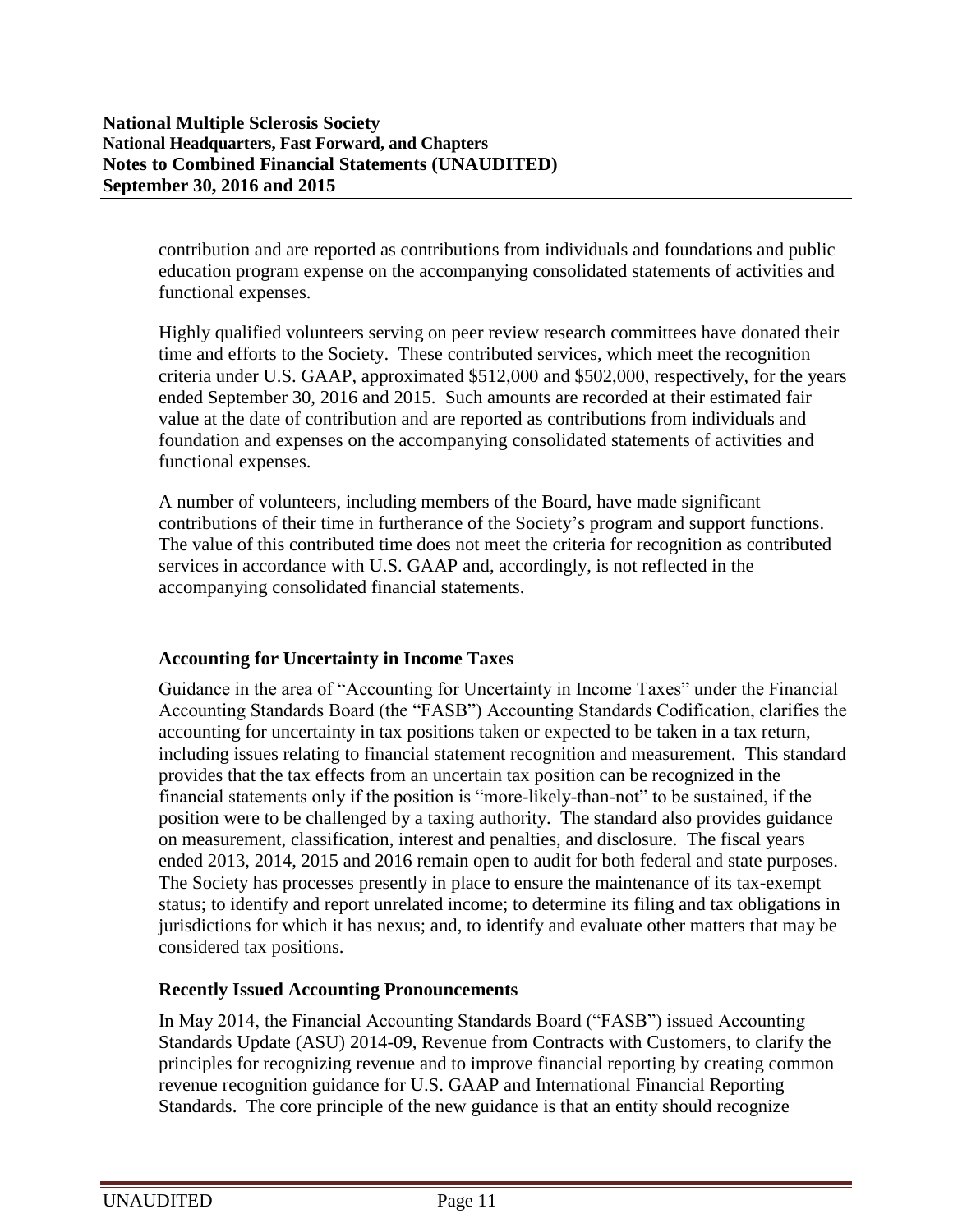contribution and are reported as contributions from individuals and foundations and public education program expense on the accompanying consolidated statements of activities and functional expenses.

Highly qualified volunteers serving on peer review research committees have donated their time and efforts to the Society. These contributed services, which meet the recognition criteria under U.S. GAAP, approximated \$512,000 and \$502,000, respectively, for the years ended September 30, 2016 and 2015. Such amounts are recorded at their estimated fair value at the date of contribution and are reported as contributions from individuals and foundation and expenses on the accompanying consolidated statements of activities and functional expenses.

A number of volunteers, including members of the Board, have made significant contributions of their time in furtherance of the Society's program and support functions. The value of this contributed time does not meet the criteria for recognition as contributed services in accordance with U.S. GAAP and, accordingly, is not reflected in the accompanying consolidated financial statements.

### **Accounting for Uncertainty in Income Taxes**

Guidance in the area of "Accounting for Uncertainty in Income Taxes" under the Financial Accounting Standards Board (the "FASB") Accounting Standards Codification, clarifies the accounting for uncertainty in tax positions taken or expected to be taken in a tax return, including issues relating to financial statement recognition and measurement. This standard provides that the tax effects from an uncertain tax position can be recognized in the financial statements only if the position is "more-likely-than-not" to be sustained, if the position were to be challenged by a taxing authority. The standard also provides guidance on measurement, classification, interest and penalties, and disclosure. The fiscal years ended 2013, 2014, 2015 and 2016 remain open to audit for both federal and state purposes. The Society has processes presently in place to ensure the maintenance of its tax-exempt status; to identify and report unrelated income; to determine its filing and tax obligations in jurisdictions for which it has nexus; and, to identify and evaluate other matters that may be considered tax positions.

### **Recently Issued Accounting Pronouncements**

In May 2014, the Financial Accounting Standards Board ("FASB") issued Accounting Standards Update (ASU) 2014-09, Revenue from Contracts with Customers, to clarify the principles for recognizing revenue and to improve financial reporting by creating common revenue recognition guidance for U.S. GAAP and International Financial Reporting Standards. The core principle of the new guidance is that an entity should recognize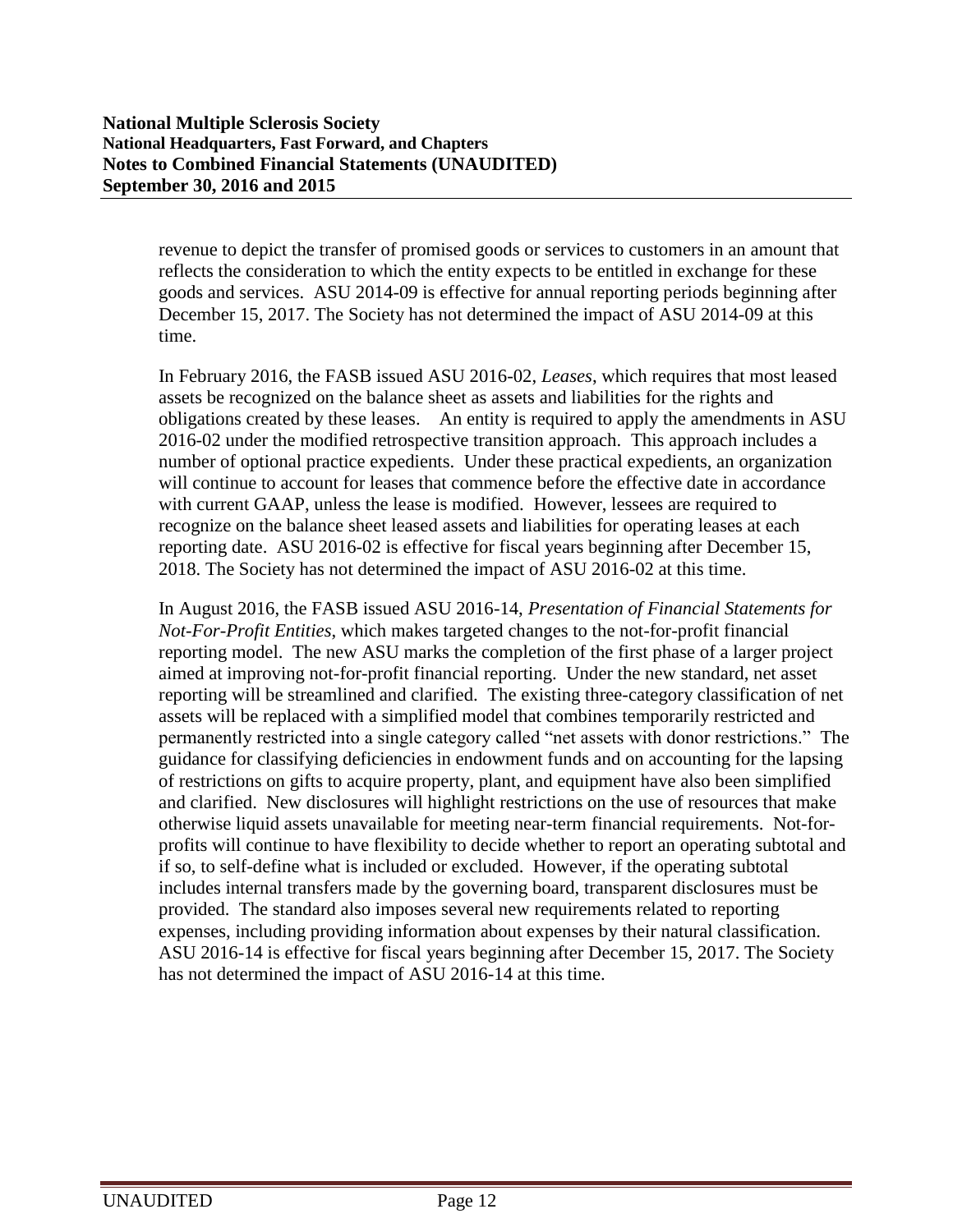revenue to depict the transfer of promised goods or services to customers in an amount that reflects the consideration to which the entity expects to be entitled in exchange for these goods and services. ASU 2014-09 is effective for annual reporting periods beginning after December 15, 2017. The Society has not determined the impact of ASU 2014-09 at this time.

In February 2016, the FASB issued ASU 2016-02, *Leases*, which requires that most leased assets be recognized on the balance sheet as assets and liabilities for the rights and obligations created by these leases. An entity is required to apply the amendments in ASU 2016-02 under the modified retrospective transition approach. This approach includes a number of optional practice expedients. Under these practical expedients, an organization will continue to account for leases that commence before the effective date in accordance with current GAAP, unless the lease is modified. However, lessees are required to recognize on the balance sheet leased assets and liabilities for operating leases at each reporting date. ASU 2016-02 is effective for fiscal years beginning after December 15, 2018. The Society has not determined the impact of ASU 2016-02 at this time.

In August 2016, the FASB issued ASU 2016-14, *Presentation of Financial Statements for Not-For-Profit Entities*, which makes targeted changes to the not-for-profit financial reporting model. The new ASU marks the completion of the first phase of a larger project aimed at improving not-for-profit financial reporting. Under the new standard, net asset reporting will be streamlined and clarified. The existing three-category classification of net assets will be replaced with a simplified model that combines temporarily restricted and permanently restricted into a single category called "net assets with donor restrictions." The guidance for classifying deficiencies in endowment funds and on accounting for the lapsing of restrictions on gifts to acquire property, plant, and equipment have also been simplified and clarified. New disclosures will highlight restrictions on the use of resources that make otherwise liquid assets unavailable for meeting near-term financial requirements. Not-forprofits will continue to have flexibility to decide whether to report an operating subtotal and if so, to self-define what is included or excluded. However, if the operating subtotal includes internal transfers made by the governing board, transparent disclosures must be provided. The standard also imposes several new requirements related to reporting expenses, including providing information about expenses by their natural classification. ASU 2016-14 is effective for fiscal years beginning after December 15, 2017. The Society has not determined the impact of ASU 2016-14 at this time.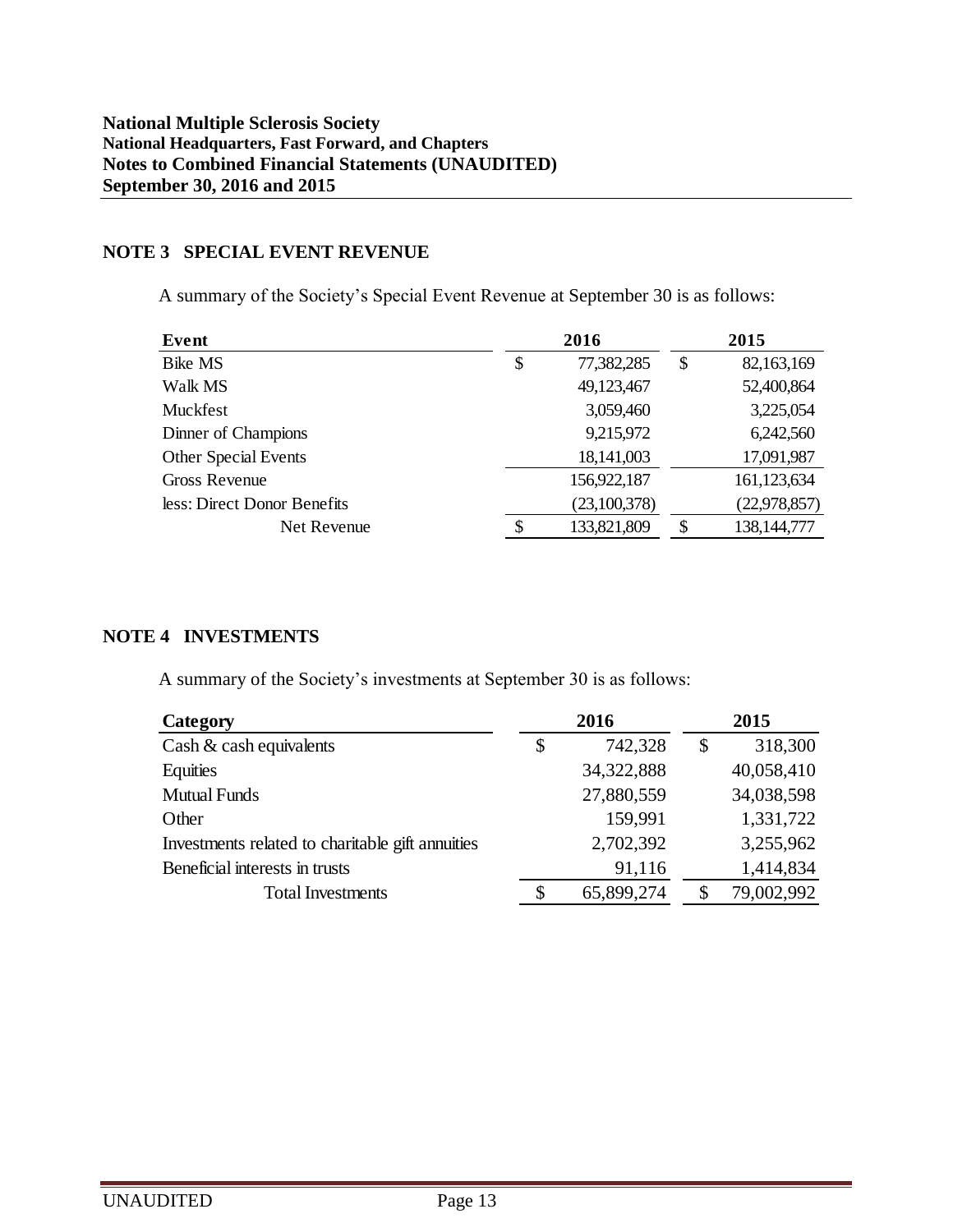### **NOTE 3 SPECIAL EVENT REVENUE**

A summary of the Society's Special Event Revenue at September 30 is as follows:

| Event                       | 2016              | 2015 |                |  |  |
|-----------------------------|-------------------|------|----------------|--|--|
| <b>Bike MS</b>              | \$<br>77,382,285  | \$   | 82,163,169     |  |  |
| Walk MS                     | 49,123,467        |      | 52,400,864     |  |  |
| <b>Muckfest</b>             | 3,059,460         |      | 3,225,054      |  |  |
| Dinner of Champions         | 9,215,972         |      | 6,242,560      |  |  |
| Other Special Events        | 18,141,003        |      | 17,091,987     |  |  |
| Gross Revenue               | 156,922,187       |      | 161,123,634    |  |  |
| less: Direct Donor Benefits | (23,100,378)      |      | (22, 978, 857) |  |  |
| Net Revenue                 | \$<br>133,821,809 | \$   | 138, 144, 777  |  |  |

# **NOTE 4 INVESTMENTS**

A summary of the Society's investments at September 30 is as follows:

| Category                                         | 2016 |            | 2015                      |            |  |
|--------------------------------------------------|------|------------|---------------------------|------------|--|
| Cash $\&$ cash equivalents                       | \$   | 742,328    | $\boldsymbol{\mathsf{S}}$ | 318,300    |  |
| Equities                                         |      | 34,322,888 |                           | 40,058,410 |  |
| <b>Mutual Funds</b>                              |      | 27,880,559 |                           | 34,038,598 |  |
| Other                                            |      | 159,991    |                           | 1,331,722  |  |
| Investments related to charitable gift annuities |      | 2,702,392  |                           | 3,255,962  |  |
| Beneficial interests in trusts                   |      | 91,116     |                           | 1,414,834  |  |
| <b>Total Investments</b>                         |      | 65,899,274 |                           | 79,002,992 |  |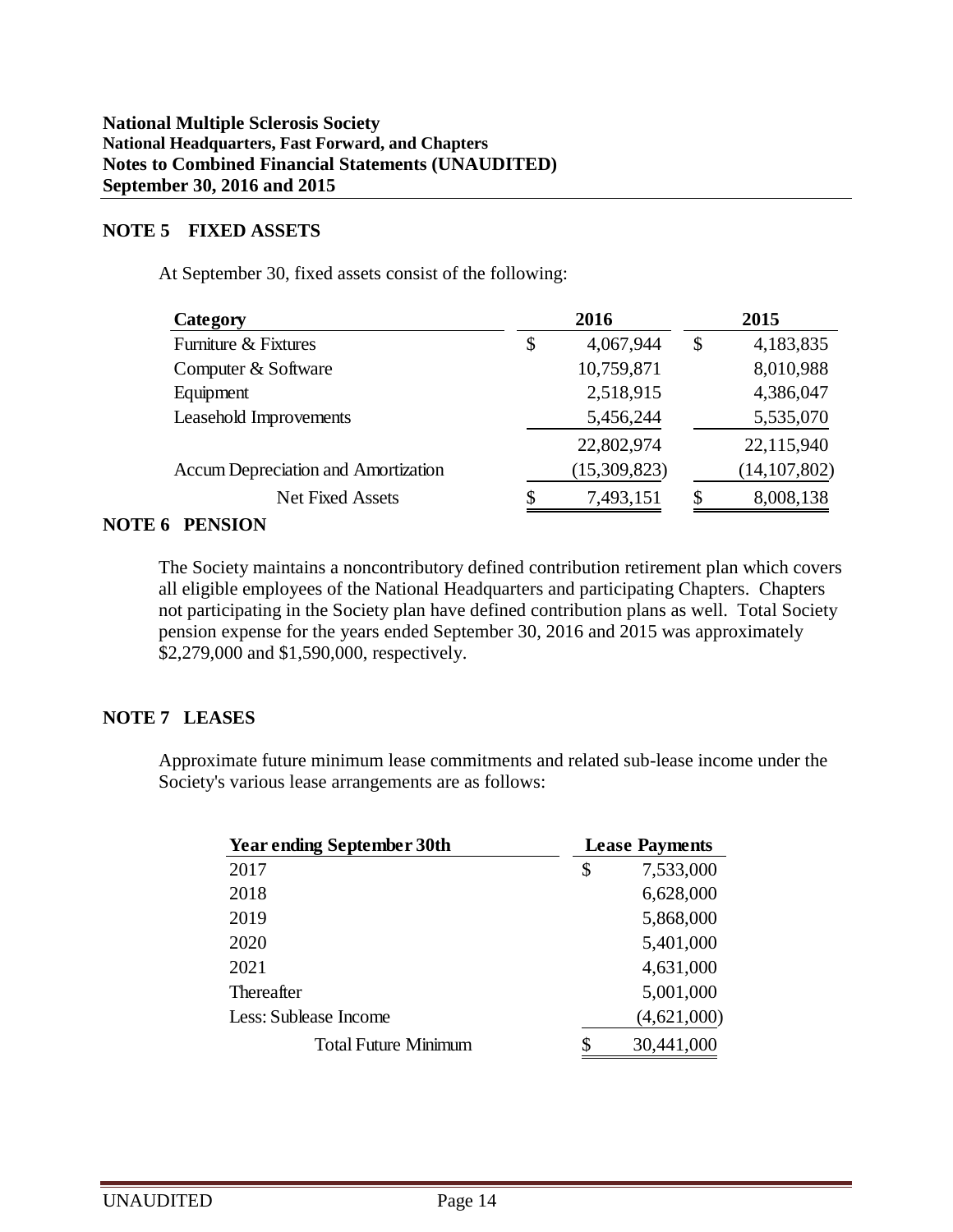### **NOTE 5 FIXED ASSETS**

At September 30, fixed assets consist of the following:

| Category                                   | 2016            | 2015            |
|--------------------------------------------|-----------------|-----------------|
| Furniture & Fixtures                       | \$<br>4,067,944 | \$<br>4,183,835 |
| Computer & Software                        | 10,759,871      | 8,010,988       |
| Equipment                                  | 2,518,915       | 4,386,047       |
| Leasehold Improvements                     | 5,456,244       | 5,535,070       |
|                                            | 22,802,974      | 22,115,940      |
| <b>Accum Depreciation and Amortization</b> | (15,309,823)    | (14, 107, 802)  |
| <b>Net Fixed Assets</b>                    | \$<br>7,493,151 | 8,008,138       |

### **NOTE 6 PENSION**

The Society maintains a noncontributory defined contribution retirement plan which covers all eligible employees of the National Headquarters and participating Chapters. Chapters not participating in the Society plan have defined contribution plans as well. Total Society pension expense for the years ended September 30, 2016 and 2015 was approximately \$2,279,000 and \$1,590,000, respectively.

#### **NOTE 7 LEASES**

Approximate future minimum lease commitments and related sub-lease income under the Society's various lease arrangements are as follows:

| <b>Year ending September 30th</b> | <b>Lease Payments</b> |
|-----------------------------------|-----------------------|
| 2017                              | \$<br>7,533,000       |
| 2018                              | 6,628,000             |
| 2019                              | 5,868,000             |
| 2020                              | 5,401,000             |
| 2021                              | 4,631,000             |
| <b>Thereafter</b>                 | 5,001,000             |
| Less: Sublease Income             | (4,621,000)           |
| <b>Total Future Minimum</b>       | \$<br>30,441,000      |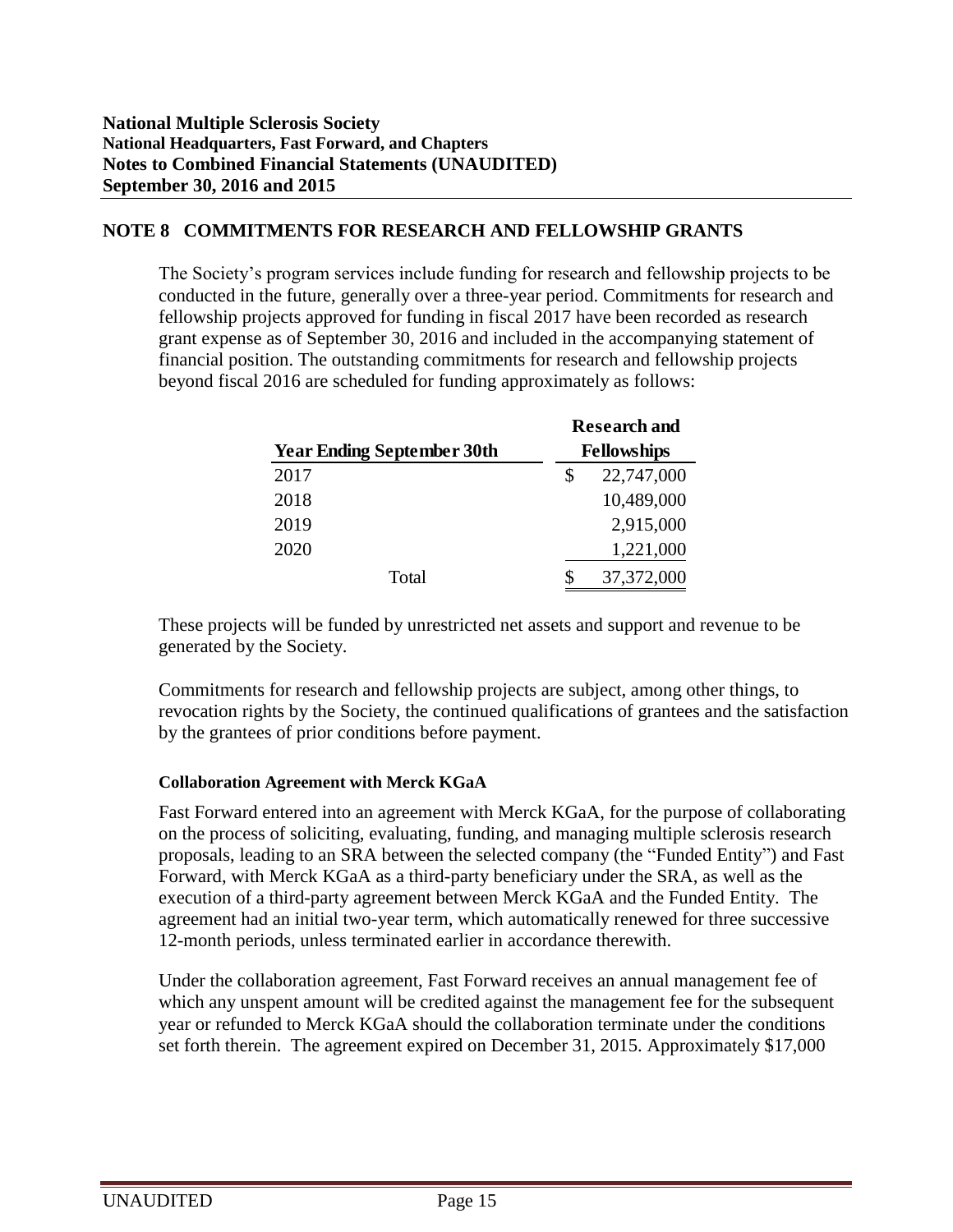### **NOTE 8 COMMITMENTS FOR RESEARCH AND FELLOWSHIP GRANTS**

The Society's program services include funding for research and fellowship projects to be conducted in the future, generally over a three-year period. Commitments for research and fellowship projects approved for funding in fiscal 2017 have been recorded as research grant expense as of September 30, 2016 and included in the accompanying statement of financial position. The outstanding commitments for research and fellowship projects beyond fiscal 2016 are scheduled for funding approximately as follows:

|                                   | <b>Research and</b> |
|-----------------------------------|---------------------|
| <b>Year Ending September 30th</b> | <b>Fellowships</b>  |
| 2017                              | \$<br>22,747,000    |
| 2018                              | 10,489,000          |
| 2019                              | 2,915,000           |
| 2020                              | 1,221,000           |
| Total                             | 37,372,000          |

These projects will be funded by unrestricted net assets and support and revenue to be generated by the Society.

Commitments for research and fellowship projects are subject, among other things, to revocation rights by the Society, the continued qualifications of grantees and the satisfaction by the grantees of prior conditions before payment.

#### **Collaboration Agreement with Merck KGaA**

Fast Forward entered into an agreement with Merck KGaA, for the purpose of collaborating on the process of soliciting, evaluating, funding, and managing multiple sclerosis research proposals, leading to an SRA between the selected company (the "Funded Entity") and Fast Forward, with Merck KGaA as a third-party beneficiary under the SRA, as well as the execution of a third-party agreement between Merck KGaA and the Funded Entity. The agreement had an initial two-year term, which automatically renewed for three successive 12-month periods, unless terminated earlier in accordance therewith.

Under the collaboration agreement, Fast Forward receives an annual management fee of which any unspent amount will be credited against the management fee for the subsequent year or refunded to Merck KGaA should the collaboration terminate under the conditions set forth therein. The agreement expired on December 31, 2015. Approximately \$17,000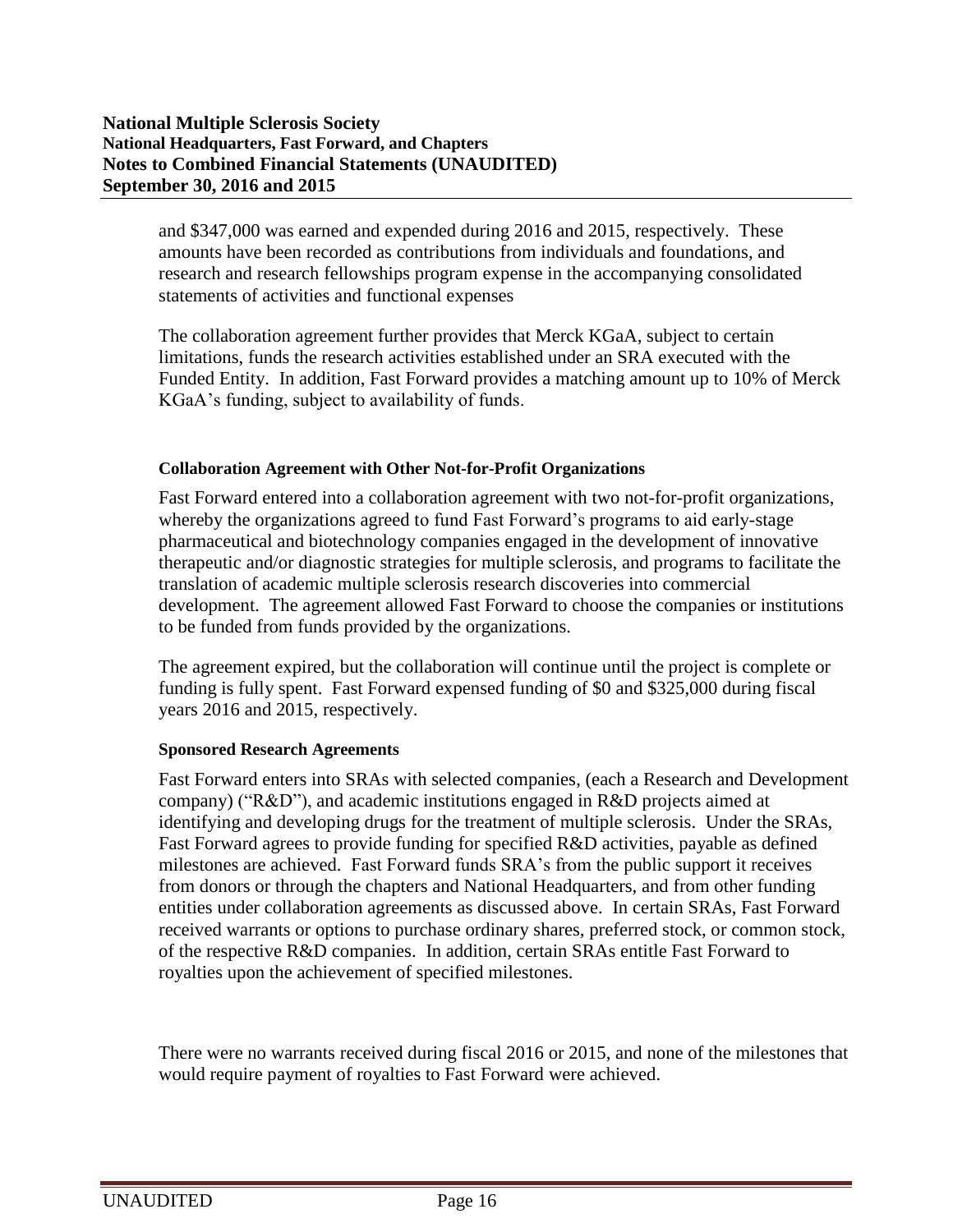and \$347,000 was earned and expended during 2016 and 2015, respectively. These amounts have been recorded as contributions from individuals and foundations, and research and research fellowships program expense in the accompanying consolidated statements of activities and functional expenses

The collaboration agreement further provides that Merck KGaA, subject to certain limitations, funds the research activities established under an SRA executed with the Funded Entity. In addition, Fast Forward provides a matching amount up to 10% of Merck KGaA's funding, subject to availability of funds.

#### **Collaboration Agreement with Other Not-for-Profit Organizations**

Fast Forward entered into a collaboration agreement with two not-for-profit organizations, whereby the organizations agreed to fund Fast Forward's programs to aid early-stage pharmaceutical and biotechnology companies engaged in the development of innovative therapeutic and/or diagnostic strategies for multiple sclerosis, and programs to facilitate the translation of academic multiple sclerosis research discoveries into commercial development. The agreement allowed Fast Forward to choose the companies or institutions to be funded from funds provided by the organizations.

The agreement expired, but the collaboration will continue until the project is complete or funding is fully spent. Fast Forward expensed funding of \$0 and \$325,000 during fiscal years 2016 and 2015, respectively.

#### **Sponsored Research Agreements**

Fast Forward enters into SRAs with selected companies, (each a Research and Development company) ("R&D"), and academic institutions engaged in R&D projects aimed at identifying and developing drugs for the treatment of multiple sclerosis. Under the SRAs, Fast Forward agrees to provide funding for specified R&D activities, payable as defined milestones are achieved. Fast Forward funds SRA's from the public support it receives from donors or through the chapters and National Headquarters, and from other funding entities under collaboration agreements as discussed above. In certain SRAs, Fast Forward received warrants or options to purchase ordinary shares, preferred stock, or common stock, of the respective R&D companies. In addition, certain SRAs entitle Fast Forward to royalties upon the achievement of specified milestones.

There were no warrants received during fiscal 2016 or 2015, and none of the milestones that would require payment of royalties to Fast Forward were achieved.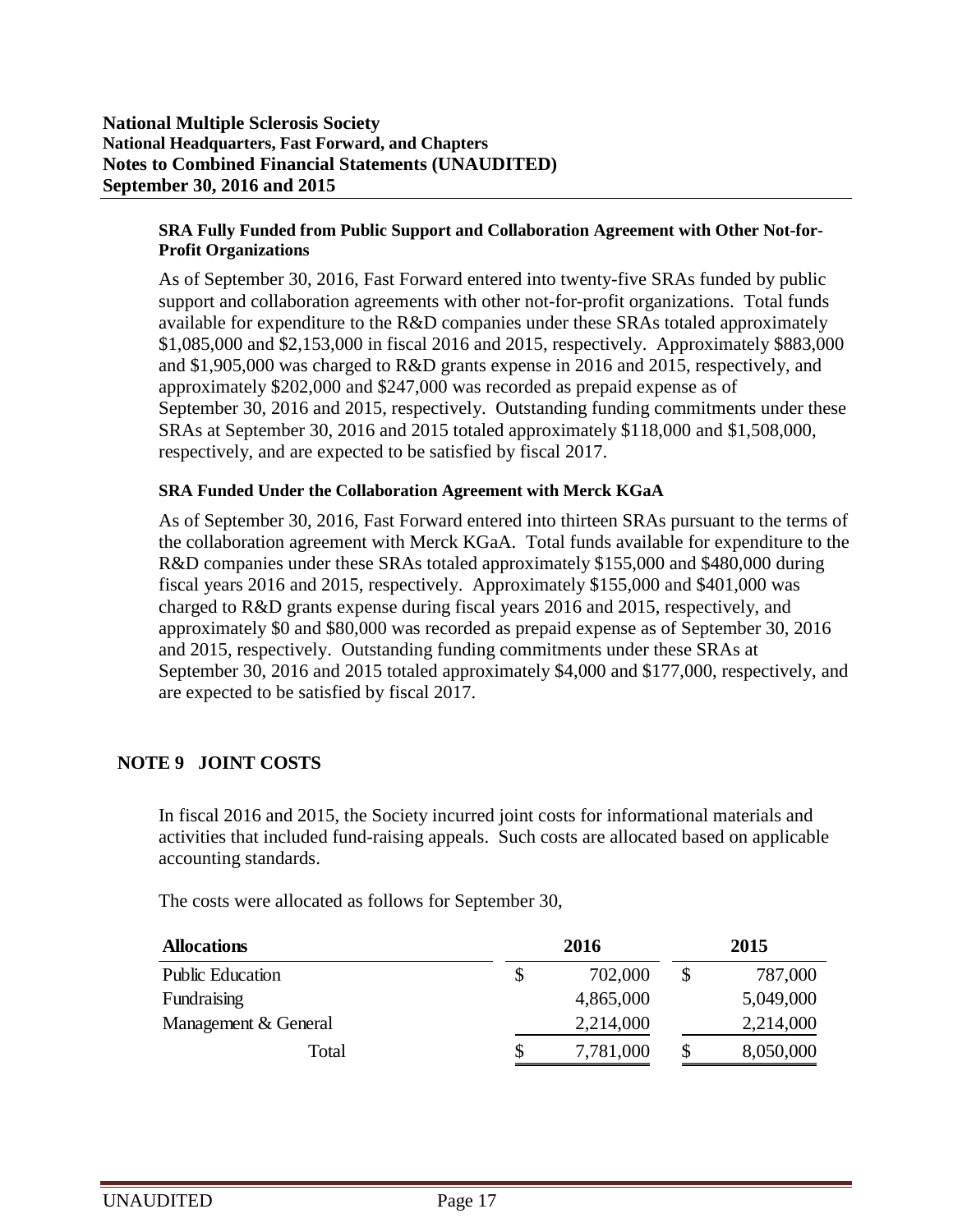#### **National Multiple Sclerosis Society National Headquarters, Fast Forward, and Chapters Notes to Combined Financial Statements (UNAUDITED) September 30, 2016 and 2015**

#### **SRA Fully Funded from Public Support and Collaboration Agreement with Other Not-for-Profit Organizations**

As of September 30, 2016, Fast Forward entered into twenty-five SRAs funded by public support and collaboration agreements with other not-for-profit organizations. Total funds available for expenditure to the R&D companies under these SRAs totaled approximately \$1,085,000 and \$2,153,000 in fiscal 2016 and 2015, respectively. Approximately \$883,000 and \$1,905,000 was charged to R&D grants expense in 2016 and 2015, respectively, and approximately \$202,000 and \$247,000 was recorded as prepaid expense as of September 30, 2016 and 2015, respectively. Outstanding funding commitments under these SRAs at September 30, 2016 and 2015 totaled approximately \$118,000 and \$1,508,000, respectively, and are expected to be satisfied by fiscal 2017.

#### **SRA Funded Under the Collaboration Agreement with Merck KGaA**

As of September 30, 2016, Fast Forward entered into thirteen SRAs pursuant to the terms of the collaboration agreement with Merck KGaA. Total funds available for expenditure to the R&D companies under these SRAs totaled approximately \$155,000 and \$480,000 during fiscal years 2016 and 2015, respectively. Approximately \$155,000 and \$401,000 was charged to R&D grants expense during fiscal years 2016 and 2015, respectively, and approximately \$0 and \$80,000 was recorded as prepaid expense as of September 30, 2016 and 2015, respectively. Outstanding funding commitments under these SRAs at September 30, 2016 and 2015 totaled approximately \$4,000 and \$177,000, respectively, and are expected to be satisfied by fiscal 2017.

# **NOTE 9 JOINT COSTS**

In fiscal 2016 and 2015, the Society incurred joint costs for informational materials and activities that included fund-raising appeals. Such costs are allocated based on applicable accounting standards.

The costs were allocated as follows for September 30,

| <b>Allocations</b>      | 2016 |           | 2015 |           |  |
|-------------------------|------|-----------|------|-----------|--|
| <b>Public Education</b> | \$   | 702,000   |      | 787,000   |  |
| Fundraising             |      | 4,865,000 |      | 5,049,000 |  |
| Management & General    |      | 2,214,000 |      | 2,214,000 |  |
| Total                   | \$   | 7,781,000 |      | 8,050,000 |  |